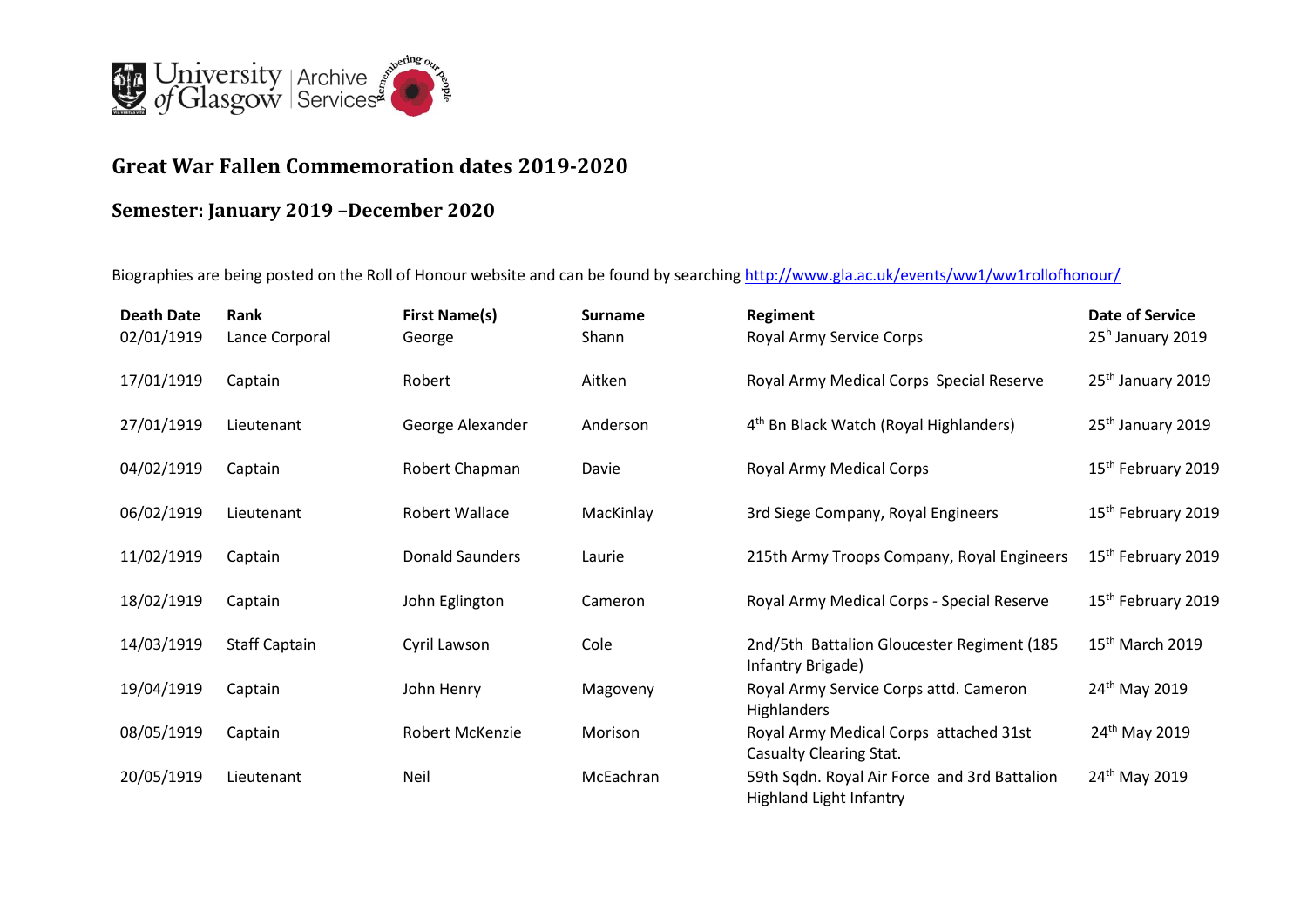

## **Great War Fallen Commemoration dates 2019-2020**

## **Semester: January 2019 –December 2020**

Biographies are being posted on the Roll of Honour website and can be found by searching <http://www.gla.ac.uk/events/ww1/ww1rollofhonour/>

| <b>Death Date</b><br>02/01/1919 | Rank<br>Lance Corporal | <b>First Name(s)</b><br>George | <b>Surname</b><br>Shann | Regiment<br>Royal Army Service Corps                                           | <b>Date of Service</b><br>25 <sup>h</sup> January 2019 |
|---------------------------------|------------------------|--------------------------------|-------------------------|--------------------------------------------------------------------------------|--------------------------------------------------------|
| 17/01/1919                      | Captain                | Robert                         | Aitken                  | Royal Army Medical Corps Special Reserve                                       | 25 <sup>th</sup> January 2019                          |
| 27/01/1919                      | Lieutenant             | George Alexander               | Anderson                | 4 <sup>th</sup> Bn Black Watch (Royal Highlanders)                             | 25 <sup>th</sup> January 2019                          |
| 04/02/1919                      | Captain                | Robert Chapman                 | Davie                   | Royal Army Medical Corps                                                       | 15 <sup>th</sup> February 2019                         |
| 06/02/1919                      | Lieutenant             | Robert Wallace                 | MacKinlay               | 3rd Siege Company, Royal Engineers                                             | 15 <sup>th</sup> February 2019                         |
| 11/02/1919                      | Captain                | Donald Saunders                | Laurie                  | 215th Army Troops Company, Royal Engineers                                     | 15 <sup>th</sup> February 2019                         |
| 18/02/1919                      | Captain                | John Eglington                 | Cameron                 | Royal Army Medical Corps - Special Reserve                                     | 15 <sup>th</sup> February 2019                         |
| 14/03/1919                      | <b>Staff Captain</b>   | Cyril Lawson                   | Cole                    | 2nd/5th Battalion Gloucester Regiment (185<br>Infantry Brigade)                | $15th$ March 2019                                      |
| 19/04/1919                      | Captain                | John Henry                     | Magoveny                | Royal Army Service Corps attd. Cameron<br><b>Highlanders</b>                   | 24 <sup>th</sup> May 2019                              |
| 08/05/1919                      | Captain                | Robert McKenzie                | Morison                 | Royal Army Medical Corps attached 31st<br>Casualty Clearing Stat.              | 24 <sup>th</sup> May 2019                              |
| 20/05/1919                      | Lieutenant             | Neil                           | McEachran               | 59th Sqdn. Royal Air Force and 3rd Battalion<br><b>Highland Light Infantry</b> | 24 <sup>th</sup> May 2019                              |